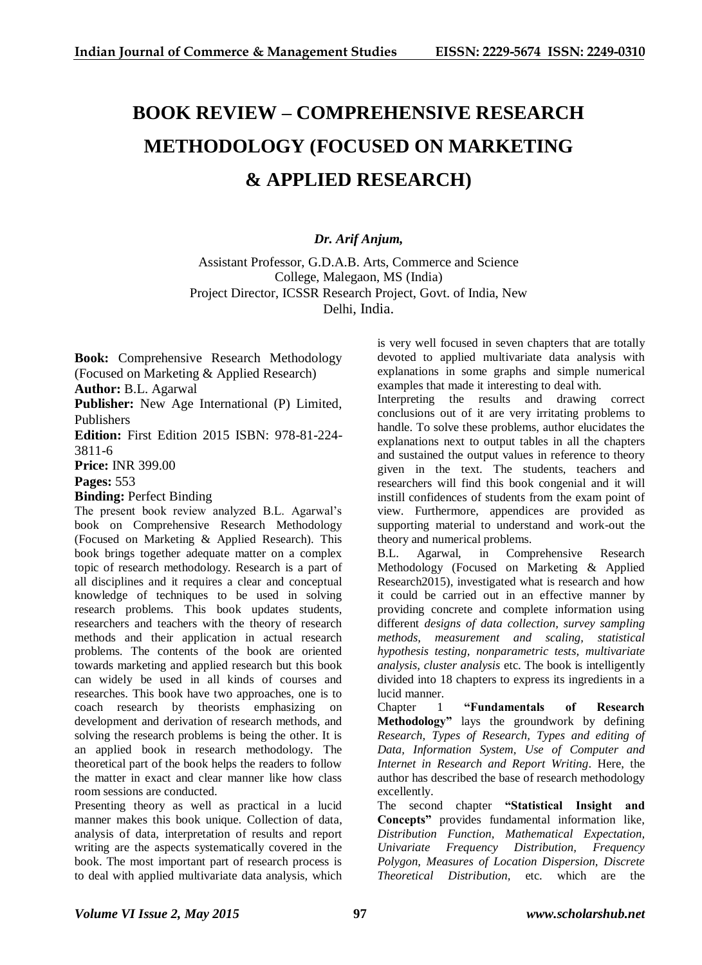## **BOOK REVIEW – COMPREHENSIVE RESEARCH METHODOLOGY (FOCUSED ON MARKETING & APPLIED RESEARCH)**

## *Dr. Arif Anjum,*

Assistant Professor, G.D.A.B. Arts, Commerce and Science College, Malegaon, MS (India) Project Director, ICSSR Research Project, Govt. of India, New Delhi, India.

**Book:** Comprehensive Research Methodology (Focused on Marketing & Applied Research)

**Author:** B.L. Agarwal

**Publisher:** New Age International (P) Limited, Publishers

**Edition:** First Edition 2015 ISBN: 978-81-224- 3811-6

**Price:** INR 399.00

**Pages:** 553

**Binding:** Perfect Binding

The present book review analyzed B.L. Agarwal's book on Comprehensive Research Methodology (Focused on Marketing & Applied Research). This book brings together adequate matter on a complex topic of research methodology. Research is a part of all disciplines and it requires a clear and conceptual knowledge of techniques to be used in solving research problems. This book updates students, researchers and teachers with the theory of research methods and their application in actual research problems. The contents of the book are oriented towards marketing and applied research but this book can widely be used in all kinds of courses and researches. This book have two approaches, one is to coach research by theorists emphasizing on development and derivation of research methods, and solving the research problems is being the other. It is an applied book in research methodology. The theoretical part of the book helps the readers to follow the matter in exact and clear manner like how class room sessions are conducted.

Presenting theory as well as practical in a lucid manner makes this book unique. Collection of data, analysis of data, interpretation of results and report writing are the aspects systematically covered in the book. The most important part of research process is to deal with applied multivariate data analysis, which is very well focused in seven chapters that are totally devoted to applied multivariate data analysis with explanations in some graphs and simple numerical examples that made it interesting to deal with.

Interpreting the results and drawing correct conclusions out of it are very irritating problems to handle. To solve these problems, author elucidates the explanations next to output tables in all the chapters and sustained the output values in reference to theory given in the text. The students, teachers and researchers will find this book congenial and it will instill confidences of students from the exam point of view. Furthermore, appendices are provided as supporting material to understand and work-out the theory and numerical problems.

B.L. Agarwal, in Comprehensive Research Methodology (Focused on Marketing & Applied Research2015), investigated what is research and how it could be carried out in an effective manner by providing concrete and complete information using different *designs of data collection, survey sampling methods, measurement and scaling, statistical hypothesis testing, nonparametric tests, multivariate analysis, cluster analysis* etc. The book is intelligently divided into 18 chapters to express its ingredients in a lucid manner.

Chapter 1 **"Fundamentals of Research Methodology"** lays the groundwork by defining *Research, Types of Research, Types and editing of Data, Information System, Use of Computer and Internet in Research and Report Writing*. Here, the author has described the base of research methodology excellently.

The second chapter **"Statistical Insight and Concepts"** provides fundamental information like, *Distribution Function, Mathematical Expectation, Univariate Frequency Distribution, Frequency Polygon, Measures of Location Dispersion, Discrete Theoretical Distribution,* etc. which are the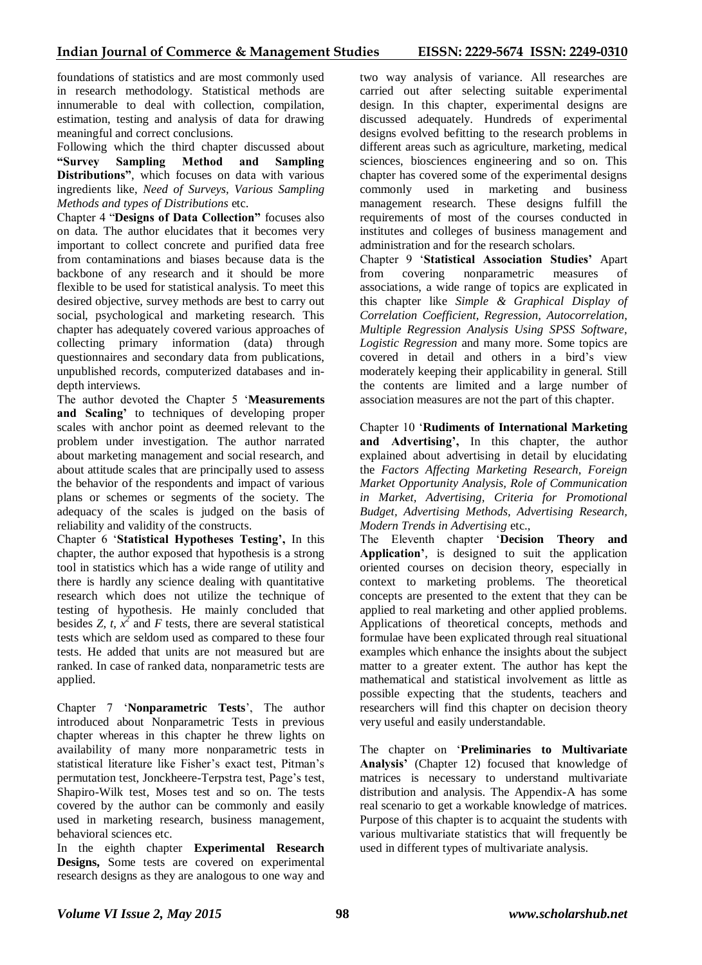foundations of statistics and are most commonly used in research methodology. Statistical methods are innumerable to deal with collection, compilation, estimation, testing and analysis of data for drawing meaningful and correct conclusions.

Following which the third chapter discussed about **"Survey Sampling Method and Sampling Distributions"**, which focuses on data with various ingredients like, *Need of Surveys, Various Sampling Methods and types of Distributions* etc.

Chapter 4 "**Designs of Data Collection"** focuses also on data. The author elucidates that it becomes very important to collect concrete and purified data free from contaminations and biases because data is the backbone of any research and it should be more flexible to be used for statistical analysis. To meet this desired objective, survey methods are best to carry out social, psychological and marketing research. This chapter has adequately covered various approaches of collecting primary information (data) through questionnaires and secondary data from publications, unpublished records, computerized databases and indepth interviews.

The author devoted the Chapter 5 '**Measurements and Scaling'** to techniques of developing proper scales with anchor point as deemed relevant to the problem under investigation. The author narrated about marketing management and social research, and about attitude scales that are principally used to assess the behavior of the respondents and impact of various plans or schemes or segments of the society. The adequacy of the scales is judged on the basis of reliability and validity of the constructs.

Chapter 6 '**Statistical Hypotheses Testing',** In this chapter, the author exposed that hypothesis is a strong tool in statistics which has a wide range of utility and there is hardly any science dealing with quantitative research which does not utilize the technique of testing of hypothesis. He mainly concluded that besides *Z, t,*  $\overline{x}^2$  and *F* tests, there are several statistical tests which are seldom used as compared to these four tests. He added that units are not measured but are ranked. In case of ranked data, nonparametric tests are applied.

Chapter 7 '**Nonparametric Tests**', The author introduced about Nonparametric Tests in previous chapter whereas in this chapter he threw lights on availability of many more nonparametric tests in statistical literature like Fisher's exact test, Pitman's permutation test, Jonckheere-Terpstra test, Page's test, Shapiro-Wilk test, Moses test and so on. The tests covered by the author can be commonly and easily used in marketing research, business management, behavioral sciences etc.

In the eighth chapter **Experimental Research Designs,** Some tests are covered on experimental research designs as they are analogous to one way and two way analysis of variance. All researches are carried out after selecting suitable experimental design. In this chapter, experimental designs are discussed adequately. Hundreds of experimental designs evolved befitting to the research problems in different areas such as agriculture, marketing, medical sciences, biosciences engineering and so on. This chapter has covered some of the experimental designs commonly used in marketing and business management research. These designs fulfill the requirements of most of the courses conducted in institutes and colleges of business management and administration and for the research scholars.

Chapter 9 '**Statistical Association Studies'** Apart from covering nonparametric measures associations, a wide range of topics are explicated in this chapter like *Simple & Graphical Display of Correlation Coefficient, Regression, Autocorrelation, Multiple Regression Analysis Using SPSS Software, Logistic Regression* and many more. Some topics are covered in detail and others in a bird's view moderately keeping their applicability in general. Still the contents are limited and a large number of association measures are not the part of this chapter.

Chapter 10 '**Rudiments of International Marketing and Advertising',** In this chapter, the author explained about advertising in detail by elucidating the *Factors Affecting Marketing Research, Foreign Market Opportunity Analysis, Role of Communication in Market, Advertising, Criteria for Promotional Budget, Advertising Methods, Advertising Research, Modern Trends in Advertising* etc.,

The Eleventh chapter '**Decision Theory and Application'**, is designed to suit the application oriented courses on decision theory, especially in context to marketing problems. The theoretical concepts are presented to the extent that they can be applied to real marketing and other applied problems. Applications of theoretical concepts, methods and formulae have been explicated through real situational examples which enhance the insights about the subject matter to a greater extent. The author has kept the mathematical and statistical involvement as little as possible expecting that the students, teachers and researchers will find this chapter on decision theory very useful and easily understandable.

The chapter on '**Preliminaries to Multivariate Analysis'** (Chapter 12) focused that knowledge of matrices is necessary to understand multivariate distribution and analysis. The Appendix-A has some real scenario to get a workable knowledge of matrices. Purpose of this chapter is to acquaint the students with various multivariate statistics that will frequently be used in different types of multivariate analysis.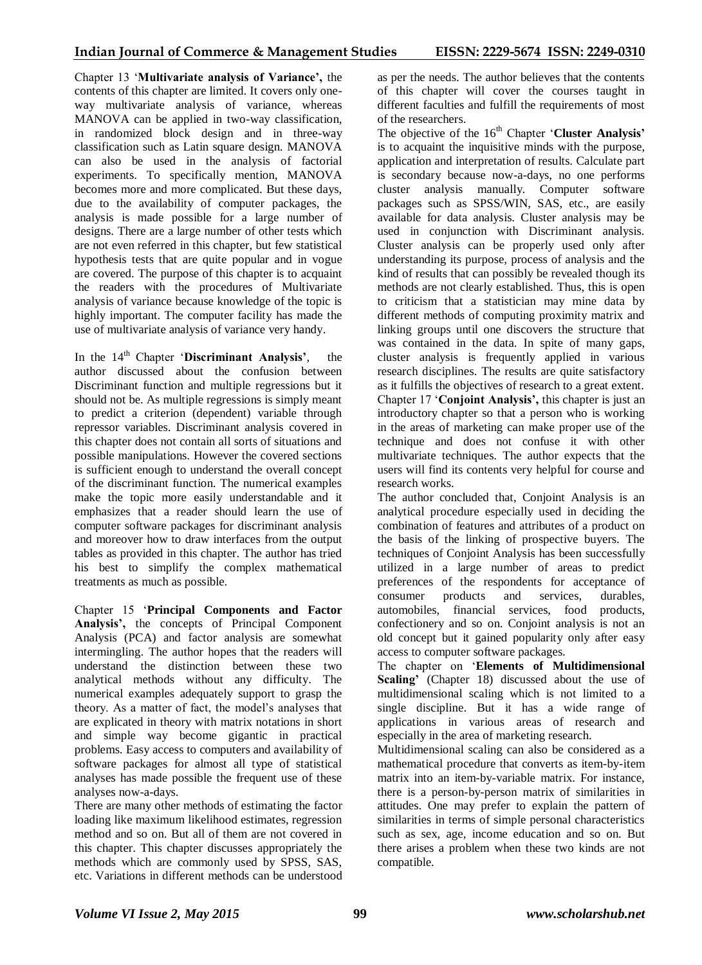Chapter 13 '**Multivariate analysis of Variance',** the contents of this chapter are limited. It covers only oneway multivariate analysis of variance, whereas MANOVA can be applied in two-way classification, in randomized block design and in three-way classification such as Latin square design. MANOVA can also be used in the analysis of factorial experiments. To specifically mention, MANOVA becomes more and more complicated. But these days, due to the availability of computer packages, the analysis is made possible for a large number of designs. There are a large number of other tests which are not even referred in this chapter, but few statistical hypothesis tests that are quite popular and in vogue are covered. The purpose of this chapter is to acquaint the readers with the procedures of Multivariate analysis of variance because knowledge of the topic is highly important. The computer facility has made the use of multivariate analysis of variance very handy.

In the 14<sup>th</sup> Chapter 'Discriminant Analysis', the author discussed about the confusion between Discriminant function and multiple regressions but it should not be. As multiple regressions is simply meant to predict a criterion (dependent) variable through repressor variables. Discriminant analysis covered in this chapter does not contain all sorts of situations and possible manipulations. However the covered sections is sufficient enough to understand the overall concept of the discriminant function. The numerical examples make the topic more easily understandable and it emphasizes that a reader should learn the use of computer software packages for discriminant analysis and moreover how to draw interfaces from the output tables as provided in this chapter. The author has tried his best to simplify the complex mathematical treatments as much as possible.

Chapter 15 '**Principal Components and Factor Analysis',** the concepts of Principal Component Analysis (PCA) and factor analysis are somewhat intermingling. The author hopes that the readers will understand the distinction between these two analytical methods without any difficulty. The numerical examples adequately support to grasp the theory. As a matter of fact, the model's analyses that are explicated in theory with matrix notations in short and simple way become gigantic in practical problems. Easy access to computers and availability of software packages for almost all type of statistical analyses has made possible the frequent use of these analyses now-a-days.

There are many other methods of estimating the factor loading like maximum likelihood estimates, regression method and so on. But all of them are not covered in this chapter. This chapter discusses appropriately the methods which are commonly used by SPSS, SAS, etc. Variations in different methods can be understood as per the needs. The author believes that the contents of this chapter will cover the courses taught in different faculties and fulfill the requirements of most of the researchers.

The objective of the 16<sup>th</sup> Chapter '**Cluster Analysis'** is to acquaint the inquisitive minds with the purpose, application and interpretation of results. Calculate part is secondary because now-a-days, no one performs cluster analysis manually. Computer software packages such as SPSS/WIN, SAS, etc., are easily available for data analysis. Cluster analysis may be used in conjunction with Discriminant analysis. Cluster analysis can be properly used only after understanding its purpose, process of analysis and the kind of results that can possibly be revealed though its methods are not clearly established. Thus, this is open to criticism that a statistician may mine data by different methods of computing proximity matrix and linking groups until one discovers the structure that was contained in the data. In spite of many gaps, cluster analysis is frequently applied in various research disciplines. The results are quite satisfactory as it fulfills the objectives of research to a great extent. Chapter 17 '**Conjoint Analysis',** this chapter is just an introductory chapter so that a person who is working in the areas of marketing can make proper use of the technique and does not confuse it with other multivariate techniques. The author expects that the users will find its contents very helpful for course and research works.

The author concluded that, Conjoint Analysis is an analytical procedure especially used in deciding the combination of features and attributes of a product on the basis of the linking of prospective buyers. The techniques of Conjoint Analysis has been successfully utilized in a large number of areas to predict preferences of the respondents for acceptance of consumer products and services, durables, automobiles, financial services, food products, confectionery and so on. Conjoint analysis is not an old concept but it gained popularity only after easy access to computer software packages.

The chapter on '**Elements of Multidimensional Scaling'** (Chapter 18) discussed about the use of multidimensional scaling which is not limited to a single discipline. But it has a wide range of applications in various areas of research and especially in the area of marketing research.

Multidimensional scaling can also be considered as a mathematical procedure that converts as item-by-item matrix into an item-by-variable matrix. For instance, there is a person-by-person matrix of similarities in attitudes. One may prefer to explain the pattern of similarities in terms of simple personal characteristics such as sex, age, income education and so on. But there arises a problem when these two kinds are not compatible.